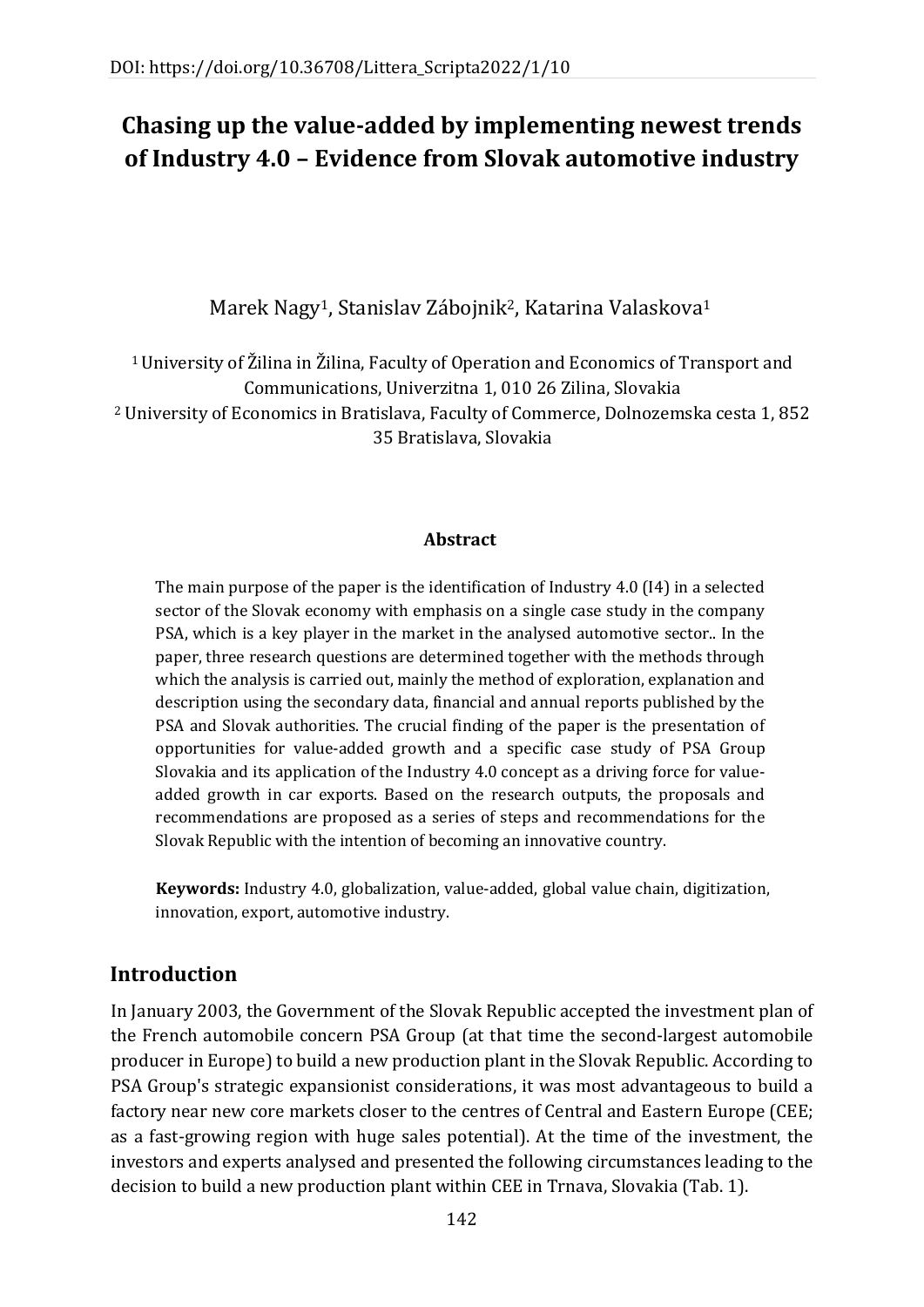# **Chasing up the value-added by implementing newest trends of Industry 4.0 – Evidence from Slovak automotive industry**

Marek Nagy<sup>1</sup>, Stanislav Zábojnik<sup>2</sup>, Katarina Valaskova<sup>1</sup>

<sup>1</sup>University of Žilina in Žilina, Faculty of Operation and Economics of Transport and Communications, Univerzitna 1, 010 26 Zilina, Slovakia <sup>2</sup> University of Economics in Bratislava, Faculty of Commerce, Dolnozemska cesta 1, 852 35 Bratislava, Slovakia

#### **Abstract**

The main purpose of the paper is the identification of Industry 4.0 (I4) in a selected sector of the Slovak economy with emphasis on a single case study in the company PSA, which is a key player in the market in the analysed automotive sector.. In the paper, three research questions are determined together with the methods through which the analysis is carried out, mainly the method of exploration, explanation and description using the secondary data, financial and annual reports published by the PSA and Slovak authorities. The crucial finding of the paper is the presentation of opportunities for value-added growth and a specific case study of PSA Group Slovakia and its application of the Industry 4.0 concept as a driving force for valueadded growth in car exports. Based on the research outputs, the proposals and recommendations are proposed as a series of steps and recommendations for the Slovak Republic with the intention of becoming an innovative country.

**Keywords:** Industry 4.0, globalization, value-added, global value chain, digitization, innovation, export, automotive industry.

# **Introduction**

In January 2003, the Government of the Slovak Republic accepted the investment plan of the French automobile concern PSA Group (at that time the second-largest automobile producer in Europe) to build a new production plant in the Slovak Republic. According to PSA Group's strategic expansionist considerations, it was most advantageous to build a factory near new core markets closer to the centres of Central and Eastern Europe (CEE; as a fast-growing region with huge sales potential). At the time of the investment, the investors and experts analysed and presented the following circumstances leading to the decision to build a new production plant within CEE in Trnava, Slovakia (Tab. 1).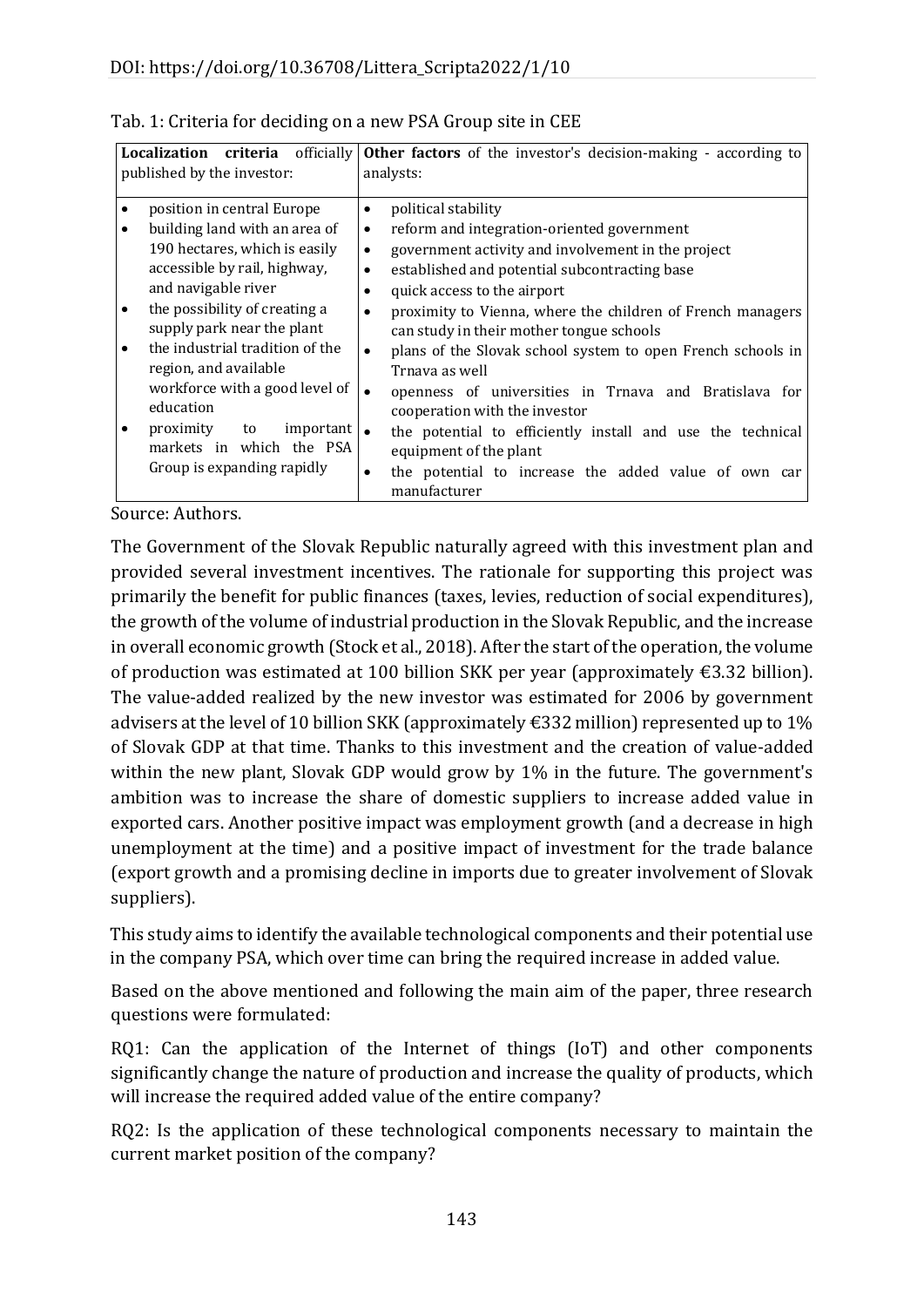| <b>criteria</b> officially<br><b>Localization</b><br>published by the investor: |                                                                                                         | <b>Other factors</b> of the investor's decision-making - according to<br>analysts:                                                                                                   |
|---------------------------------------------------------------------------------|---------------------------------------------------------------------------------------------------------|--------------------------------------------------------------------------------------------------------------------------------------------------------------------------------------|
| $\bullet$                                                                       | position in central Europe<br>building land with an area of                                             | political stability<br>$\bullet$<br>reform and integration-oriented government<br>$\bullet$                                                                                          |
|                                                                                 | 190 hectares, which is easily<br>accessible by rail, highway,<br>and navigable river                    | government activity and involvement in the project<br>$\bullet$<br>established and potential subcontracting base<br>٠<br>quick access to the airport                                 |
|                                                                                 | the possibility of creating a<br>supply park near the plant                                             | proximity to Vienna, where the children of French managers<br>can study in their mother tongue schools                                                                               |
|                                                                                 | the industrial tradition of the<br>region, and available<br>workforce with a good level of<br>education | plans of the Slovak school system to open French schools in<br>$\bullet$<br>Trnava as well<br>openness of universities in Trnava and Bratislava for<br>cooperation with the investor |
|                                                                                 | proximity<br>$important$ .<br>to<br>markets in which the PSA<br>Group is expanding rapidly              | the potential to efficiently install and use the technical<br>equipment of the plant<br>the potential to increase the added value of own car<br>manufacturer                         |

| Tab. 1: Criteria for deciding on a new PSA Group site in CEE |  |
|--------------------------------------------------------------|--|
|--------------------------------------------------------------|--|

Source: Authors.

The Government of the Slovak Republic naturally agreed with this investment plan and provided several investment incentives. The rationale for supporting this project was primarily the benefit for public finances (taxes, levies, reduction of social expenditures), the growth of the volume of industrial production in the Slovak Republic, and the increase in overall economic growth (Stock et al., 2018). After the start of the operation, the volume of production was estimated at 100 billion SKK per year (approximately €3.32 billion). The value-added realized by the new investor was estimated for 2006 by government advisers at the level of 10 billion SKK (approximately  $\epsilon$ 332 million) represented up to 1% of Slovak GDP at that time. Thanks to this investment and the creation of value-added within the new plant, Slovak GDP would grow by 1% in the future. The government's ambition was to increase the share of domestic suppliers to increase added value in exported cars. Another positive impact was employment growth (and a decrease in high unemployment at the time) and a positive impact of investment for the trade balance (export growth and a promising decline in imports due to greater involvement of Slovak suppliers).

This study aims to identify the available technological components and their potential use in the company PSA, which over time can bring the required increase in added value.

Based on the above mentioned and following the main aim of the paper, three research questions were formulated:

RQ1: Can the application of the Internet of things (IoT) and other components significantly change the nature of production and increase the quality of products, which will increase the required added value of the entire company?

RQ2: Is the application of these technological components necessary to maintain the current market position of the company?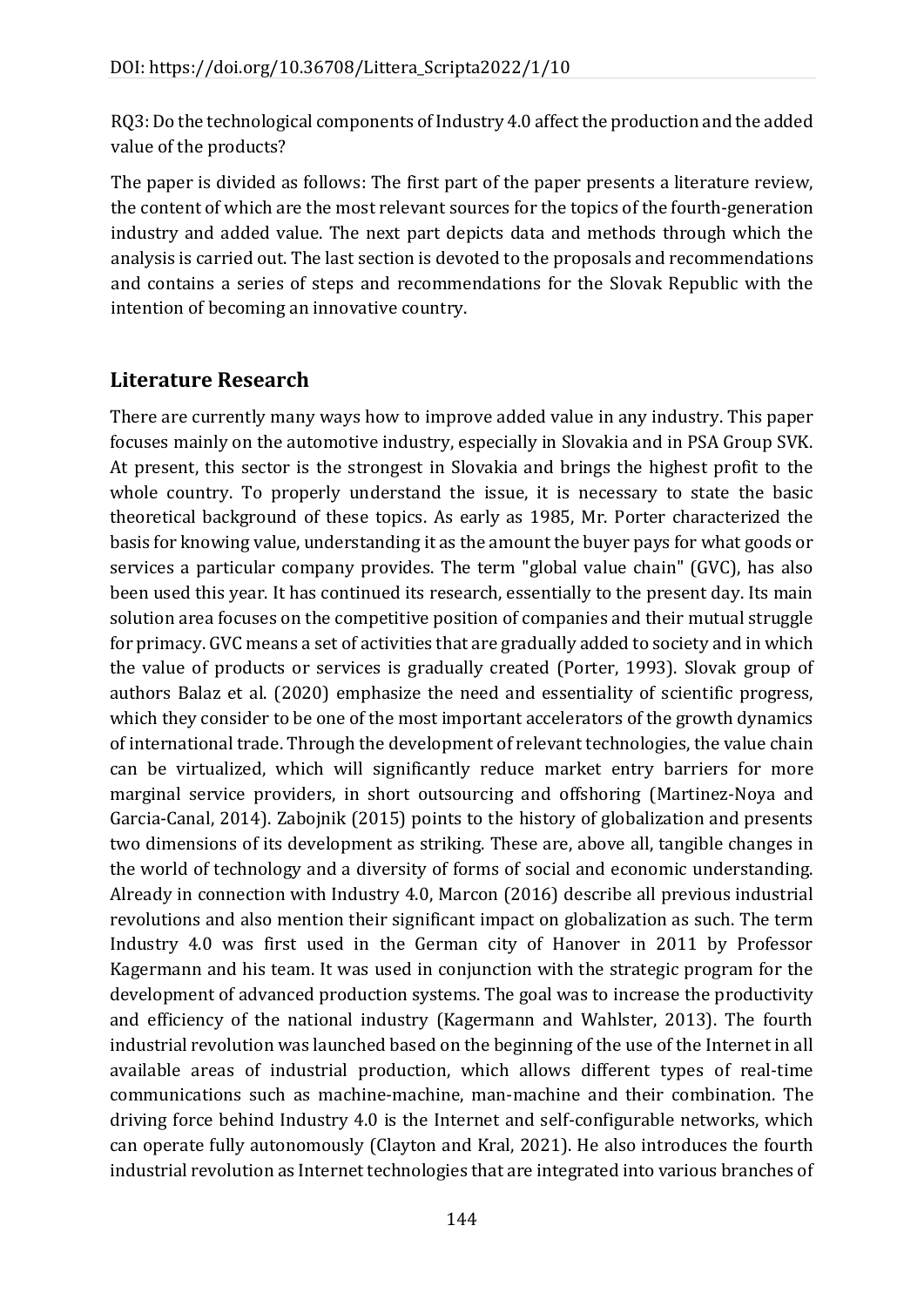RQ3: Do the technological components of Industry 4.0 affect the production and the added value of the products?

The paper is divided as follows: The first part of the paper presents a literature review, the content of which are the most relevant sources for the topics of the fourth-generation industry and added value. The next part depicts data and methods through which the analysis is carried out. The last section is devoted to the proposals and recommendations and contains a series of steps and recommendations for the Slovak Republic with the intention of becoming an innovative country.

# **Literature Research**

There are currently many ways how to improve added value in any industry. This paper focuses mainly on the automotive industry, especially in Slovakia and in PSA Group SVK. At present, this sector is the strongest in Slovakia and brings the highest profit to the whole country. To properly understand the issue, it is necessary to state the basic theoretical background of these topics. As early as 1985, Mr. Porter characterized the basis for knowing value, understanding it as the amount the buyer pays for what goods or services a particular company provides. The term "global value chain" (GVC), has also been used this year. It has continued its research, essentially to the present day. Its main solution area focuses on the competitive position of companies and their mutual struggle for primacy. GVC means a set of activities that are gradually added to society and in which the value of products or services is gradually created (Porter, 1993). Slovak group of authors Balaz et al. (2020) emphasize the need and essentiality of scientific progress, which they consider to be one of the most important accelerators of the growth dynamics of international trade. Through the development of relevant technologies, the value chain can be virtualized, which will significantly reduce market entry barriers for more marginal service providers, in short outsourcing and offshoring (Martinez-Noya and Garcia-Canal, 2014). Zabojnik (2015) points to the history of globalization and presents two dimensions of its development as striking. These are, above all, tangible changes in the world of technology and a diversity of forms of social and economic understanding. Already in connection with Industry 4.0, Marcon (2016) describe all previous industrial revolutions and also mention their significant impact on globalization as such. The term Industry 4.0 was first used in the German city of Hanover in 2011 by Professor Kagermann and his team. It was used in conjunction with the strategic program for the development of advanced production systems. The goal was to increase the productivity and efficiency of the national industry (Kagermann and Wahlster, 2013). The fourth industrial revolution was launched based on the beginning of the use of the Internet in all available areas of industrial production, which allows different types of real-time communications such as machine-machine, man-machine and their combination. The driving force behind Industry 4.0 is the Internet and self-configurable networks, which can operate fully autonomously (Clayton and Kral, 2021). He also introduces the fourth industrial revolution as Internet technologies that are integrated into various branches of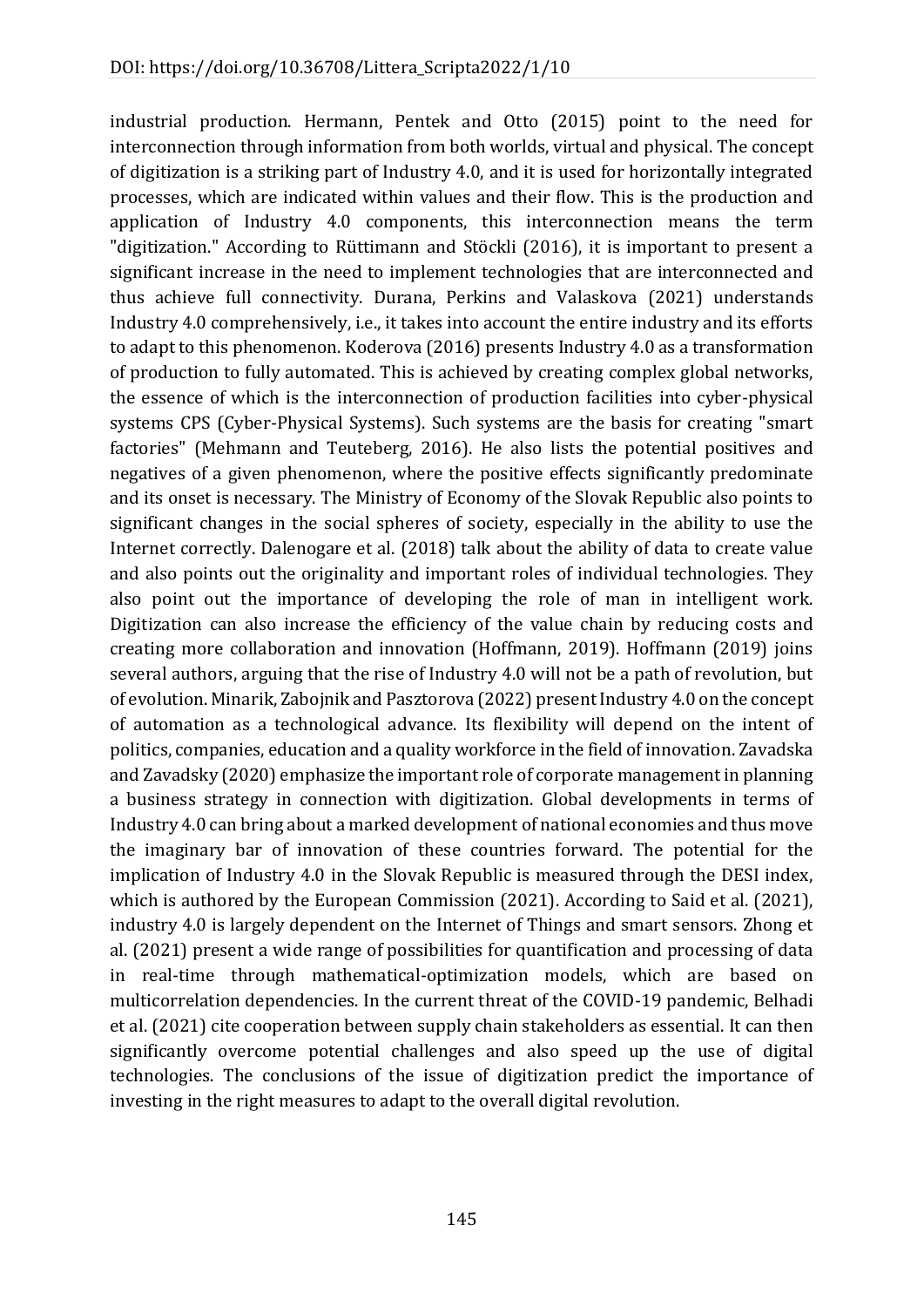industrial production. Hermann, Pentek and Otto (2015) point to the need for interconnection through information from both worlds, virtual and physical. The concept of digitization is a striking part of Industry 4.0, and it is used for horizontally integrated processes, which are indicated within values and their flow. This is the production and application of Industry 4.0 components, this interconnection means the term "digitization." According to Rüttimann and Stöckli (2016), it is important to present a significant increase in the need to implement technologies that are interconnected and thus achieve full connectivity. Durana, Perkins and Valaskova (2021) understands Industry 4.0 comprehensively, i.e., it takes into account the entire industry and its efforts to adapt to this phenomenon. Koderova (2016) presents Industry 4.0 as a transformation of production to fully automated. This is achieved by creating complex global networks, the essence of which is the interconnection of production facilities into cyber-physical systems CPS (Cyber-Physical Systems). Such systems are the basis for creating "smart factories" (Mehmann and Teuteberg, 2016). He also lists the potential positives and negatives of a given phenomenon, where the positive effects significantly predominate and its onset is necessary. The Ministry of Economy of the Slovak Republic also points to significant changes in the social spheres of society, especially in the ability to use the Internet correctly. Dalenogare et al. (2018) talk about the ability of data to create value and also points out the originality and important roles of individual technologies. They also point out the importance of developing the role of man in intelligent work. Digitization can also increase the efficiency of the value chain by reducing costs and creating more collaboration and innovation (Hoffmann, 2019). Hoffmann (2019) joins several authors, arguing that the rise of Industry 4.0 will not be a path of revolution, but of evolution. Minarik, Zabojnik and Pasztorova (2022) present Industry 4.0 on the concept of automation as a technological advance. Its flexibility will depend on the intent of politics, companies, education and a quality workforce in the field of innovation. Zavadska and Zavadsky (2020) emphasize the important role of corporate management in planning a business strategy in connection with digitization. Global developments in terms of Industry 4.0 can bring about a marked development of national economies and thus move the imaginary bar of innovation of these countries forward. The potential for the implication of Industry 4.0 in the Slovak Republic is measured through the DESI index, which is authored by the European Commission (2021). According to Said et al. (2021), industry 4.0 is largely dependent on the Internet of Things and smart sensors. Zhong et al. (2021) present a wide range of possibilities for quantification and processing of data in real-time through mathematical-optimization models, which are based on multicorrelation dependencies. In the current threat of the COVID-19 pandemic, Belhadi et al. (2021) cite cooperation between supply chain stakeholders as essential. It can then significantly overcome potential challenges and also speed up the use of digital technologies. The conclusions of the issue of digitization predict the importance of investing in the right measures to adapt to the overall digital revolution.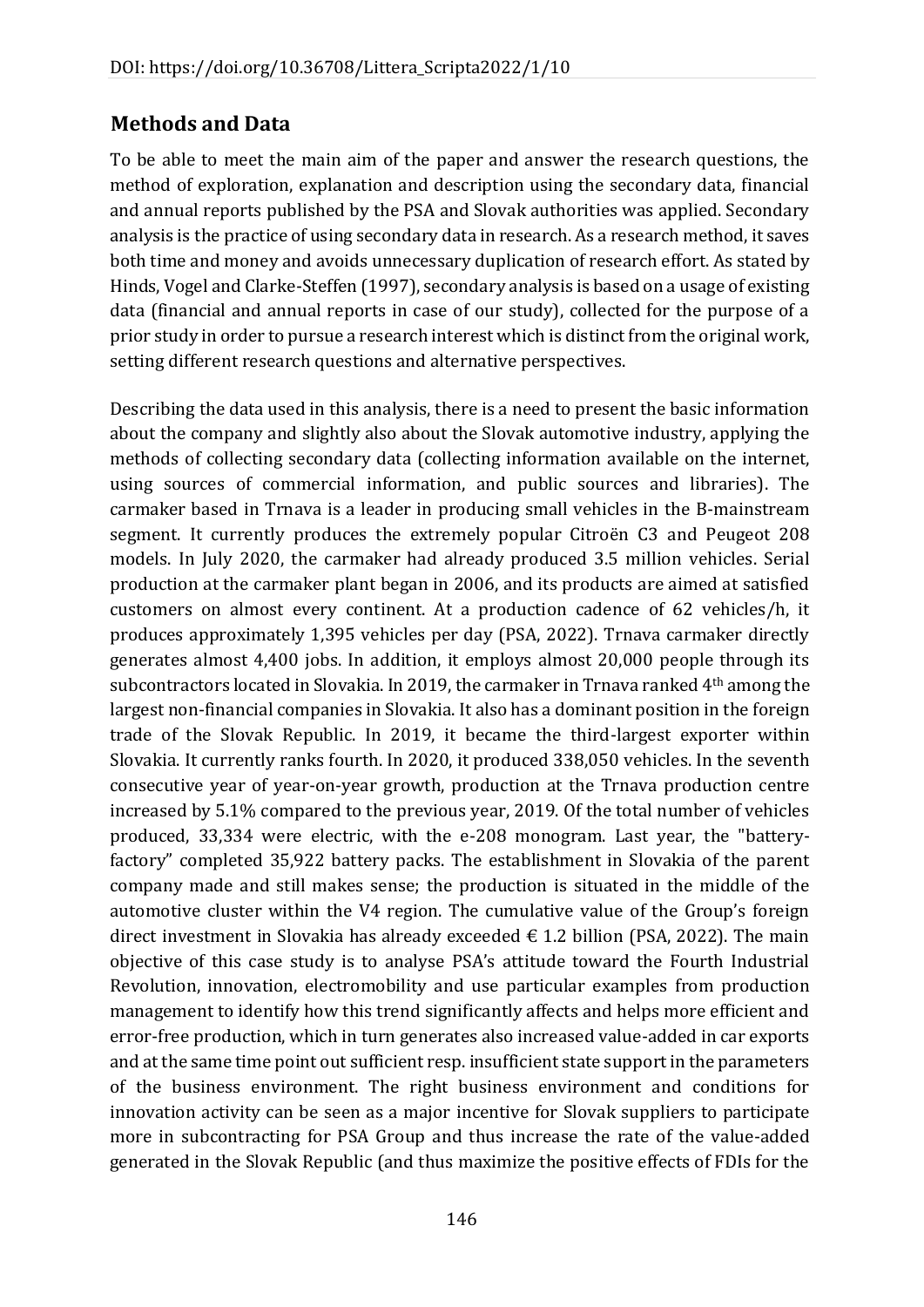# **Methods and Data**

To be able to meet the main aim of the paper and answer the research questions, the method of exploration, explanation and description using the secondary data, financial and annual reports published by the PSA and Slovak authorities was applied. Secondary analysis is the practice of using secondary data in research. As a research method, it saves both time and money and avoids unnecessary duplication of research effort. As stated by Hinds, Vogel and Clarke-Steffen (1997), secondary analysis is based on a usage of existing data (financial and annual reports in case of our study), collected for the purpose of a prior study in order to pursue a research interest which is distinct from the original work, setting different research questions and alternative perspectives.

Describing the data used in this analysis, there is a need to present the basic information about the company and slightly also about the Slovak automotive industry, applying the methods of collecting secondary data (collecting information available on the internet, using sources of commercial information, and public sources and libraries). The carmaker based in Trnava is a leader in producing small vehicles in the B-mainstream segment. It currently produces the extremely popular Citroën C3 and Peugeot 208 models. In July 2020, the carmaker had already produced 3.5 million vehicles. Serial production at the carmaker plant began in 2006, and its products are aimed at satisfied customers on almost every continent. At a production cadence of 62 vehicles/h, it produces approximately 1,395 vehicles per day (PSA, 2022). Trnava carmaker directly generates almost 4,400 jobs. In addition, it employs almost 20,000 people through its subcontractors located in Slovakia. In 2019, the carmaker in Trnava ranked 4th among the largest non-financial companies in Slovakia. It also has a dominant position in the foreign trade of the Slovak Republic. In 2019, it became the third-largest exporter within Slovakia. It currently ranks fourth. In 2020, it produced 338,050 vehicles. In the seventh consecutive year of year-on-year growth, production at the Trnava production centre increased by 5.1% compared to the previous year, 2019. Of the total number of vehicles produced, 33,334 were electric, with the e-208 monogram. Last year, the "batteryfactory" completed 35,922 battery packs. The establishment in Slovakia of the parent company made and still makes sense; the production is situated in the middle of the automotive cluster within the V4 region. The cumulative value of the Group's foreign direct investment in Slovakia has already exceeded  $\epsilon$  1.2 billion (PSA, 2022). The main objective of this case study is to analyse PSA's attitude toward the Fourth Industrial Revolution, innovation, electromobility and use particular examples from production management to identify how this trend significantly affects and helps more efficient and error-free production, which in turn generates also increased value-added in car exports and at the same time point out sufficient resp. insufficient state support in the parameters of the business environment. The right business environment and conditions for innovation activity can be seen as a major incentive for Slovak suppliers to participate more in subcontracting for PSA Group and thus increase the rate of the value-added generated in the Slovak Republic (and thus maximize the positive effects of FDIs for the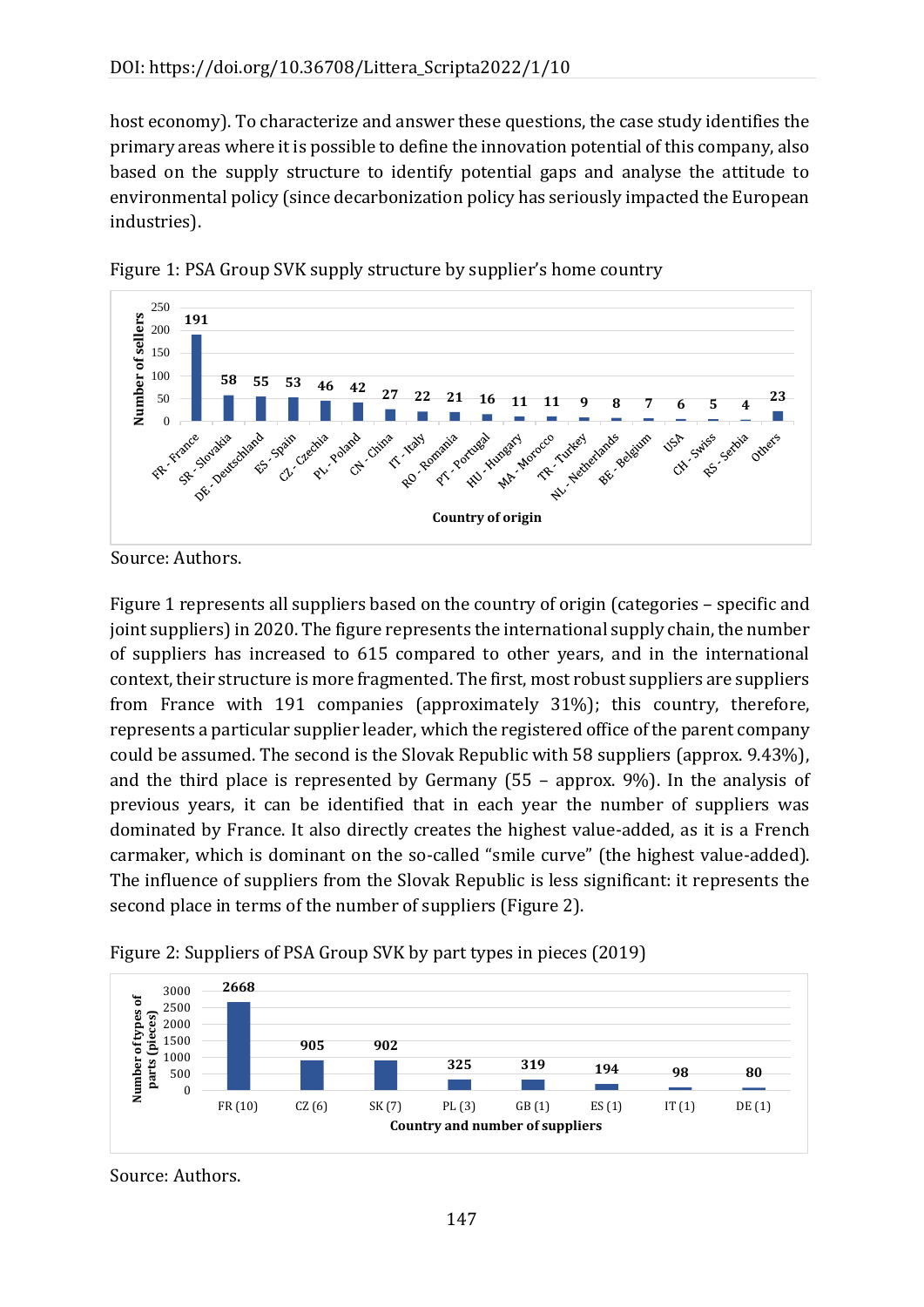host economy). To characterize and answer these questions, the case study identifies the primary areas where it is possible to define the innovation potential of this company, also based on the supply structure to identify potential gaps and analyse the attitude to environmental policy (since decarbonization policy has seriously impacted the European industries).





Figure 1 represents all suppliers based on the country of origin (categories – specific and joint suppliers) in 2020. The figure represents the international supply chain, the number of suppliers has increased to 615 compared to other years, and in the international context, their structure is more fragmented. The first, most robust suppliers are suppliers from France with 191 companies (approximately 31%); this country, therefore, represents a particular supplier leader, which the registered office of the parent company could be assumed. The second is the Slovak Republic with 58 suppliers (approx. 9.43%), and the third place is represented by Germany (55 – approx. 9%). In the analysis of previous years, it can be identified that in each year the number of suppliers was dominated by France. It also directly creates the highest value-added, as it is a French carmaker, which is dominant on the so-called "smile curve" (the highest value-added). The influence of suppliers from the Slovak Republic is less significant: it represents the second place in terms of the number of suppliers (Figure 2).



Figure 2: Suppliers of PSA Group SVK by part types in pieces (2019)

Source: Authors.

Source: Authors.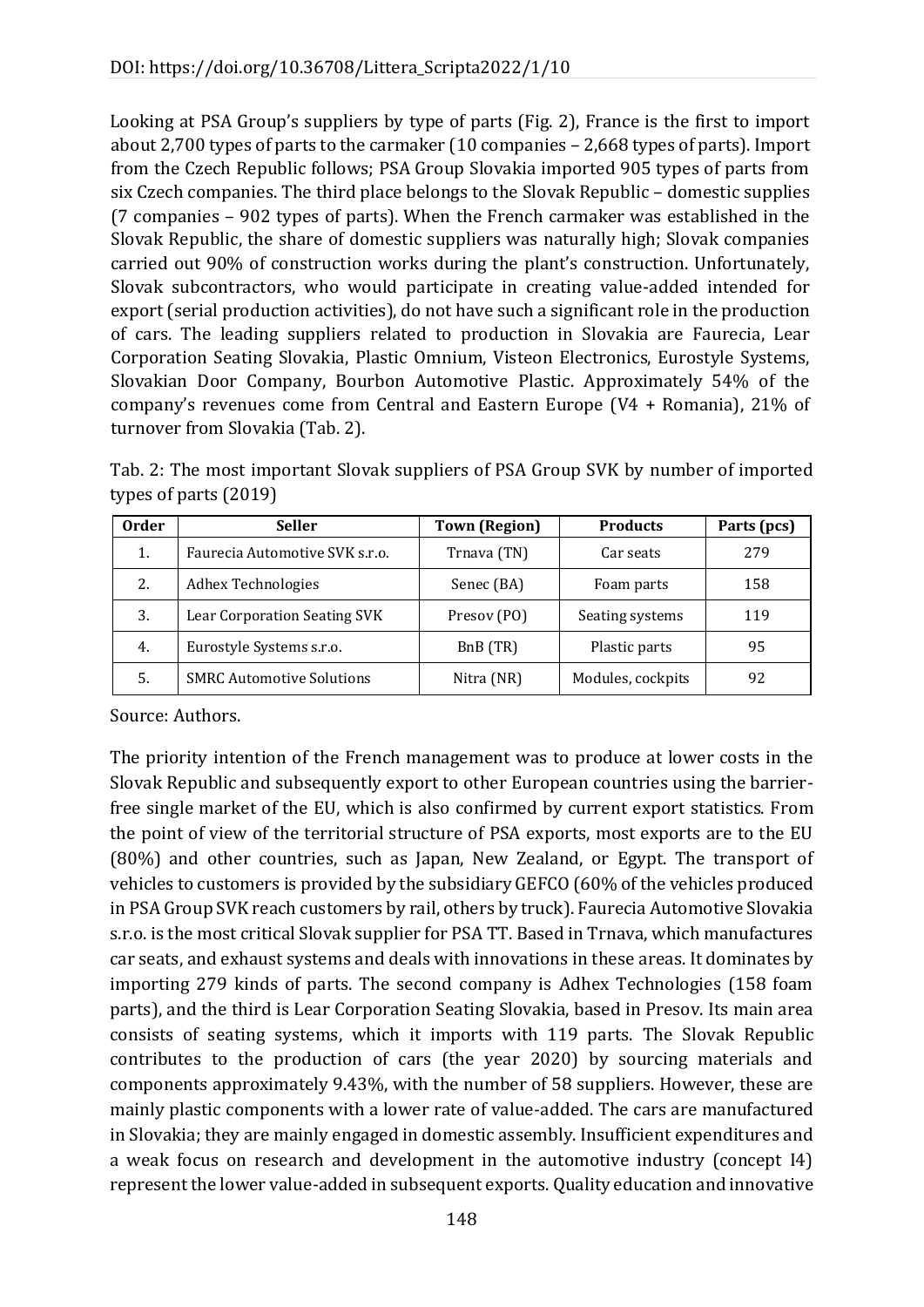Looking at PSA Group's suppliers by type of parts (Fig. 2), France is the first to import about 2,700 types of parts to the carmaker (10 companies – 2,668 types of parts). Import from the Czech Republic follows; PSA Group Slovakia imported 905 types of parts from six Czech companies. The third place belongs to the Slovak Republic – domestic supplies (7 companies – 902 types of parts). When the French carmaker was established in the Slovak Republic, the share of domestic suppliers was naturally high; Slovak companies carried out 90% of construction works during the plant's construction. Unfortunately, Slovak subcontractors, who would participate in creating value-added intended for export (serial production activities), do not have such a significant role in the production of cars. The leading suppliers related to production in Slovakia are Faurecia, Lear Corporation Seating Slovakia, Plastic Omnium, Visteon Electronics, Eurostyle Systems, Slovakian Door Company, Bourbon Automotive Plastic. Approximately 54% of the company's revenues come from Central and Eastern Europe (V4 + Romania), 21% of turnover from Slovakia (Tab. 2).

| Tab. 2: The most important Slovak suppliers of PSA Group SVK by number of imported |  |  |  |
|------------------------------------------------------------------------------------|--|--|--|
| types of parts $(2019)$                                                            |  |  |  |

| <b>Order</b> | <b>Seller</b>                    | <b>Town (Region)</b> | <b>Products</b>   | Parts (pcs) |
|--------------|----------------------------------|----------------------|-------------------|-------------|
| 1.           | Faurecia Automotive SVK s.r.o.   | Trnava (TN)          | Car seats         | 279         |
| 2.           | <b>Adhex Technologies</b>        | Senec (BA)           | Foam parts        | 158         |
| 3.           | Lear Corporation Seating SVK     | Presov (PO)          | Seating systems   | 119         |
| 4.           | Eurostyle Systems s.r.o.         | BnB (TR)             | Plastic parts     | 95          |
| 5.           | <b>SMRC Automotive Solutions</b> | Nitra (NR)           | Modules, cockpits | 92          |

Source: Authors.

The priority intention of the French management was to produce at lower costs in the Slovak Republic and subsequently export to other European countries using the barrierfree single market of the EU, which is also confirmed by current export statistics. From the point of view of the territorial structure of PSA exports, most exports are to the EU (80%) and other countries, such as Japan, New Zealand, or Egypt. The transport of vehicles to customers is provided by the subsidiary GEFCO (60% of the vehicles produced in PSA Group SVK reach customers by rail, others by truck). Faurecia Automotive Slovakia s.r.o. is the most critical Slovak supplier for PSA TT. Based in Trnava, which manufactures car seats, and exhaust systems and deals with innovations in these areas. It dominates by importing 279 kinds of parts. The second company is Adhex Technologies (158 foam parts), and the third is Lear Corporation Seating Slovakia, based in Presov. Its main area consists of seating systems, which it imports with 119 parts. The Slovak Republic contributes to the production of cars (the year 2020) by sourcing materials and components approximately 9.43%, with the number of 58 suppliers. However, these are mainly plastic components with a lower rate of value-added. The cars are manufactured in Slovakia; they are mainly engaged in domestic assembly. Insufficient expenditures and a weak focus on research and development in the automotive industry (concept I4) represent the lower value-added in subsequent exports. Quality education and innovative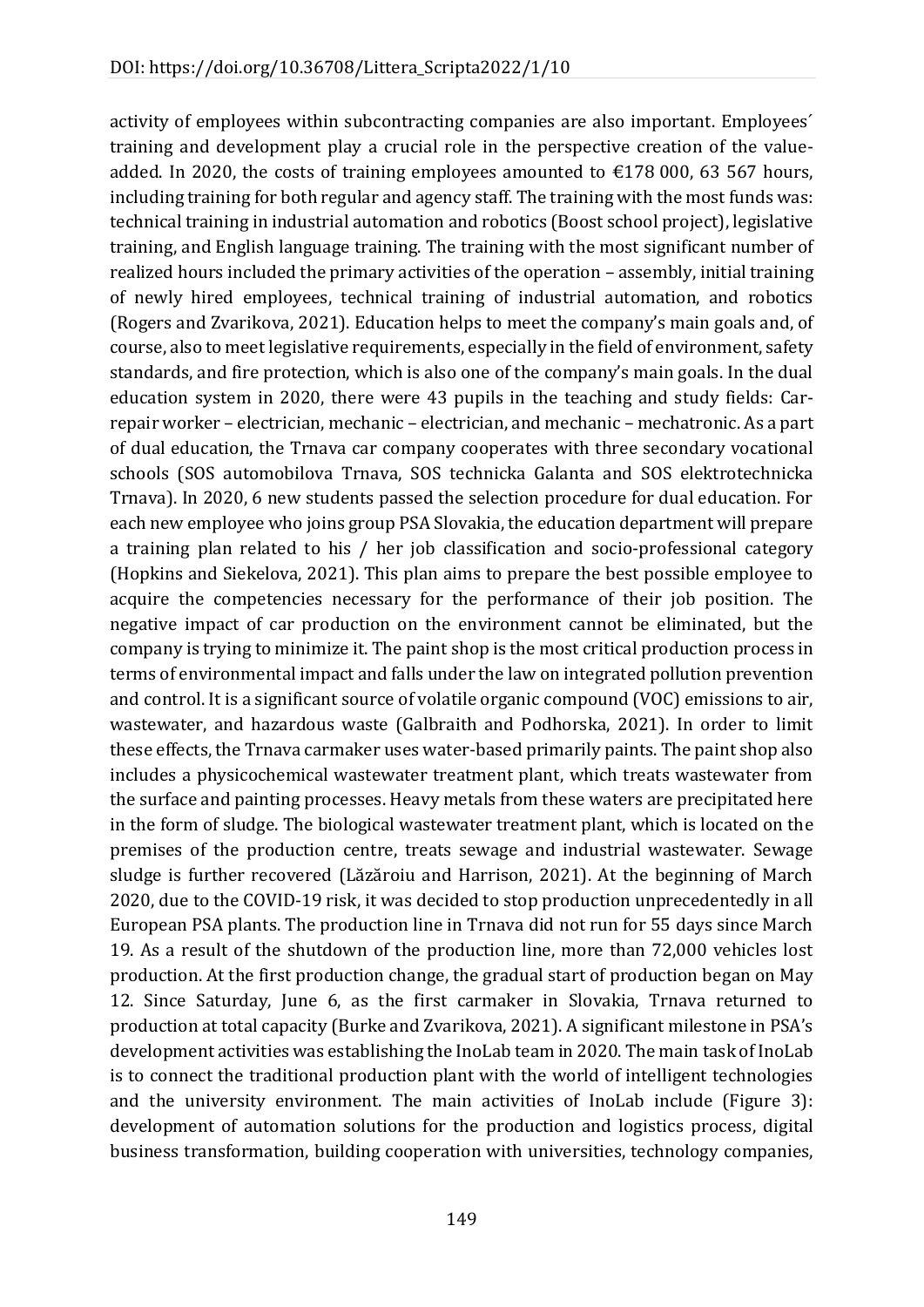activity of employees within subcontracting companies are also important. Employees´ training and development play a crucial role in the perspective creation of the valueadded. In 2020, the costs of training employees amounted to  $\epsilon$ 178 000, 63 567 hours, including training for both regular and agency staff. The training with the most funds was: technical training in industrial automation and robotics (Boost school project), legislative training, and English language training. The training with the most significant number of realized hours included the primary activities of the operation – assembly, initial training of newly hired employees, technical training of industrial automation, and robotics (Rogers and Zvarikova, 2021). Education helps to meet the company's main goals and, of course, also to meet legislative requirements, especially in the field of environment, safety standards, and fire protection, which is also one of the company's main goals. In the dual education system in 2020, there were 43 pupils in the teaching and study fields: Carrepair worker – electrician, mechanic – electrician, and mechanic – mechatronic. As a part of dual education, the Trnava car company cooperates with three secondary vocational schools (SOS automobilova Trnava, SOS technicka Galanta and SOS elektrotechnicka Trnava). In 2020, 6 new students passed the selection procedure for dual education. For each new employee who joins group PSA Slovakia, the education department will prepare a training plan related to his / her job classification and socio-professional category (Hopkins and Siekelova, 2021). This plan aims to prepare the best possible employee to acquire the competencies necessary for the performance of their job position. The negative impact of car production on the environment cannot be eliminated, but the company is trying to minimize it. The paint shop is the most critical production process in terms of environmental impact and falls under the law on integrated pollution prevention and control. It is a significant source of volatile organic compound (VOC) emissions to air, wastewater, and hazardous waste (Galbraith and Podhorska, 2021). In order to limit these effects, the Trnava carmaker uses water-based primarily paints. The paint shop also includes a physicochemical wastewater treatment plant, which treats wastewater from the surface and painting processes. Heavy metals from these waters are precipitated here in the form of sludge. The biological wastewater treatment plant, which is located on the premises of the production centre, treats sewage and industrial wastewater. Sewage sludge is further recovered (Lăzăroiu and Harrison, 2021). At the beginning of March 2020, due to the COVID-19 risk, it was decided to stop production unprecedentedly in all European PSA plants. The production line in Trnava did not run for 55 days since March 19. As a result of the shutdown of the production line, more than 72,000 vehicles lost production. At the first production change, the gradual start of production began on May 12. Since Saturday, June 6, as the first carmaker in Slovakia, Trnava returned to production at total capacity (Burke and Zvarikova, 2021). A significant milestone in PSA's development activities was establishing the InoLab team in 2020. The main task of InoLab is to connect the traditional production plant with the world of intelligent technologies and the university environment. The main activities of InoLab include (Figure 3): development of automation solutions for the production and logistics process, digital business transformation, building cooperation with universities, technology companies,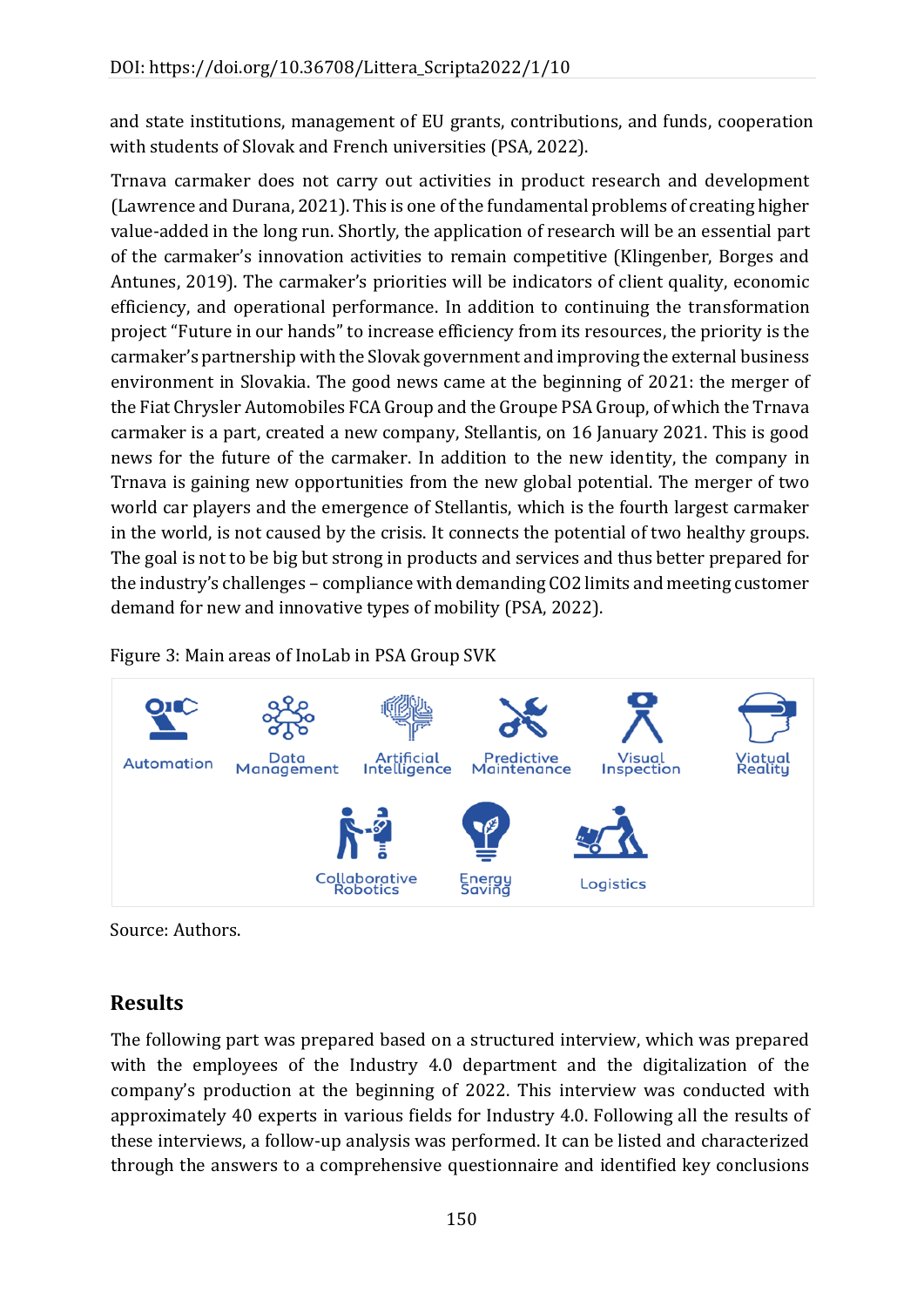and state institutions, management of EU grants, contributions, and funds, cooperation with students of Slovak and French universities (PSA, 2022).

Trnava carmaker does not carry out activities in product research and development (Lawrence and Durana, 2021). This is one of the fundamental problems of creating higher value-added in the long run. Shortly, the application of research will be an essential part of the carmaker's innovation activities to remain competitive (Klingenber, Borges and Antunes, 2019). The carmaker's priorities will be indicators of client quality, economic efficiency, and operational performance. In addition to continuing the transformation project "Future in our hands" to increase efficiency from its resources, the priority is the carmaker's partnership with the Slovak government and improving the external business environment in Slovakia. The good news came at the beginning of 2021: the merger of the Fiat Chrysler Automobiles FCA Group and the Groupe PSA Group, of which the Trnava carmaker is a part, created a new company, Stellantis, on 16 January 2021. This is good news for the future of the carmaker. In addition to the new identity, the company in Trnava is gaining new opportunities from the new global potential. The merger of two world car players and the emergence of Stellantis, which is the fourth largest carmaker in the world, is not caused by the crisis. It connects the potential of two healthy groups. The goal is not to be big but strong in products and services and thus better prepared for the industry's challenges – compliance with demanding CO2 limits and meeting customer demand for new and innovative types of mobility (PSA, 2022).

Figure 3: Main areas of InoLab in PSA Group SVK



Source: Authors.

## **Results**

The following part was prepared based on a structured interview, which was prepared with the employees of the Industry 4.0 department and the digitalization of the company's production at the beginning of 2022. This interview was conducted with approximately 40 experts in various fields for Industry 4.0. Following all the results of these interviews, a follow-up analysis was performed. It can be listed and characterized through the answers to a comprehensive questionnaire and identified key conclusions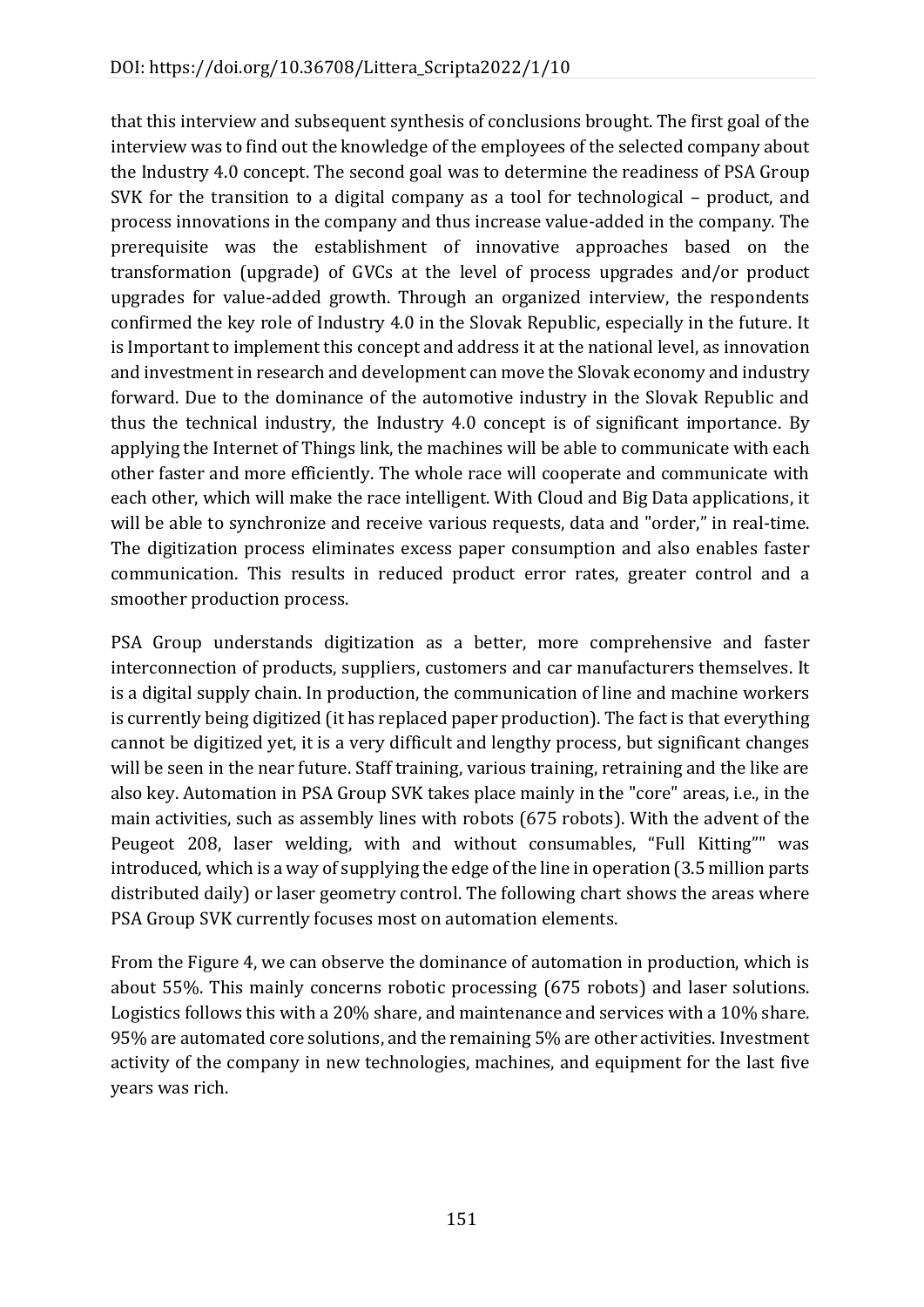that this interview and subsequent synthesis of conclusions brought. The first goal of the interview was to find out the knowledge of the employees of the selected company about the Industry 4.0 concept. The second goal was to determine the readiness of PSA Group SVK for the transition to a digital company as a tool for technological – product, and process innovations in the company and thus increase value-added in the company. The prerequisite was the establishment of innovative approaches based on the transformation (upgrade) of GVCs at the level of process upgrades and/or product upgrades for value-added growth. Through an organized interview, the respondents confirmed the key role of Industry 4.0 in the Slovak Republic, especially in the future. It is Important to implement this concept and address it at the national level, as innovation and investment in research and development can move the Slovak economy and industry forward. Due to the dominance of the automotive industry in the Slovak Republic and thus the technical industry, the Industry 4.0 concept is of significant importance. By applying the Internet of Things link, the machines will be able to communicate with each other faster and more efficiently. The whole race will cooperate and communicate with each other, which will make the race intelligent. With Cloud and Big Data applications, it will be able to synchronize and receive various requests, data and "order," in real-time. The digitization process eliminates excess paper consumption and also enables faster communication. This results in reduced product error rates, greater control and a smoother production process.

PSA Group understands digitization as a better, more comprehensive and faster interconnection of products, suppliers, customers and car manufacturers themselves. It is a digital supply chain. In production, the communication of line and machine workers is currently being digitized (it has replaced paper production). The fact is that everything cannot be digitized yet, it is a very difficult and lengthy process, but significant changes will be seen in the near future. Staff training, various training, retraining and the like are also key. Automation in PSA Group SVK takes place mainly in the "core" areas, i.e., in the main activities, such as assembly lines with robots (675 robots). With the advent of the Peugeot 208, laser welding, with and without consumables, "Full Kitting"" was introduced, which is a way of supplying the edge of the line in operation (3.5 million parts distributed daily) or laser geometry control. The following chart shows the areas where PSA Group SVK currently focuses most on automation elements.

From the Figure 4, we can observe the dominance of automation in production, which is about 55%. This mainly concerns robotic processing (675 robots) and laser solutions. Logistics follows this with a 20% share, and maintenance and services with a 10% share. 95% are automated core solutions, and the remaining 5% are other activities. Investment activity of the company in new technologies, machines, and equipment for the last five years was rich.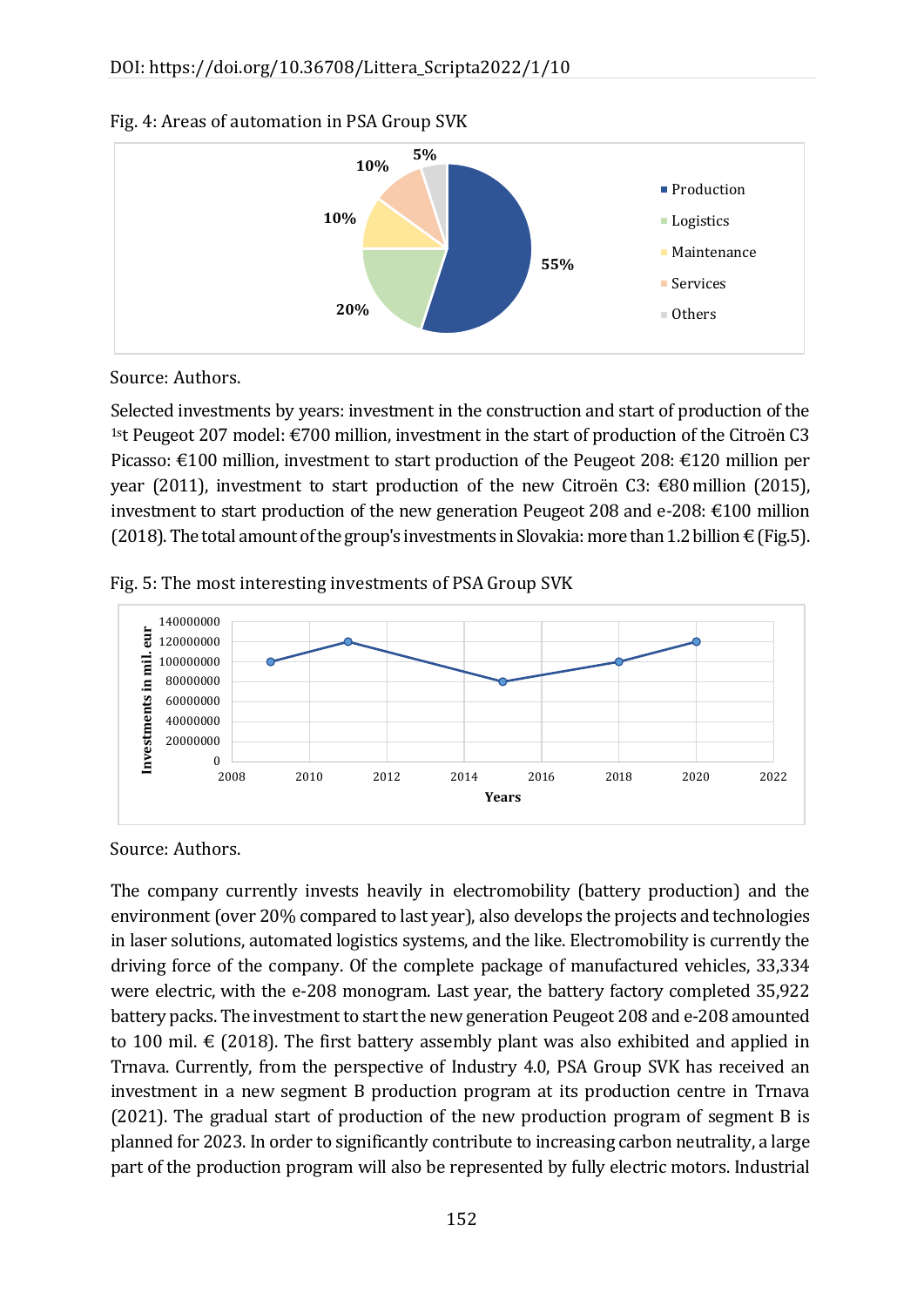

#### Fig. 4: Areas of automation in PSA Group SVK

Source: Authors.

Selected investments by years: investment in the construction and start of production of the <sup>1st</sup> Peugeot 207 model:  $\epsilon$ 700 million, investment in the start of production of the Citroën C3 Picasso: €100 million, investment to start production of the Peugeot 208: €120 million per year (2011), investment to start production of the new Citroën C3: €80 million (2015), investment to start production of the new generation Peugeot 208 and e-208: €100 million (2018). The total amount of the group's investments in Slovakia: more than 1.2 billion  $\in$  (Fig.5).





Source: Authors.

The company currently invests heavily in electromobility (battery production) and the environment (over 20% compared to last year), also develops the projects and technologies in laser solutions, automated logistics systems, and the like. Electromobility is currently the driving force of the company. Of the complete package of manufactured vehicles, 33,334 were electric, with the e-208 monogram. Last year, the battery factory completed 35,922 battery packs. The investment to start the new generation Peugeot 208 and e-208 amounted to 100 mil.  $\epsilon$  (2018). The first battery assembly plant was also exhibited and applied in Trnava. Currently, from the perspective of Industry 4.0, PSA Group SVK has received an investment in a new segment B production program at its production centre in Trnava (2021). The gradual start of production of the new production program of segment B is planned for 2023. In order to significantly contribute to increasing carbon neutrality, a large part of the production program will also be represented by fully electric motors. Industrial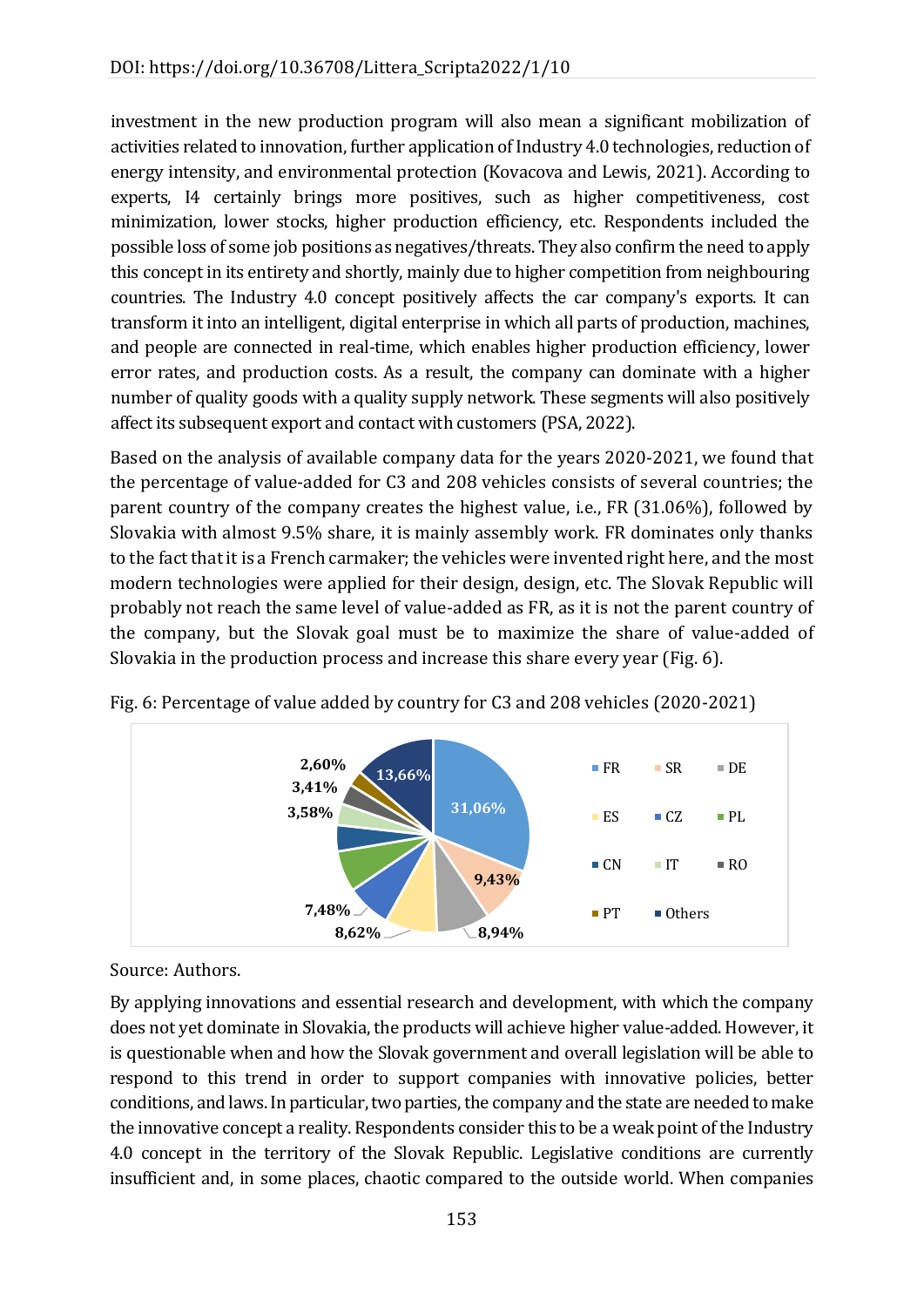investment in the new production program will also mean a significant mobilization of activities related to innovation, further application of Industry 4.0 technologies, reduction of energy intensity, and environmental protection (Kovacova and Lewis, 2021). According to experts, I4 certainly brings more positives, such as higher competitiveness, cost minimization, lower stocks, higher production efficiency, etc. Respondents included the possible loss of some job positions as negatives/threats. They also confirm the need to apply this concept in its entirety and shortly, mainly due to higher competition from neighbouring countries. The Industry 4.0 concept positively affects the car company's exports. It can transform it into an intelligent, digital enterprise in which all parts of production, machines, and people are connected in real-time, which enables higher production efficiency, lower error rates, and production costs. As a result, the company can dominate with a higher number of quality goods with a quality supply network. These segments will also positively affect its subsequent export and contact with customers (PSA, 2022).

Based on the analysis of available company data for the years 2020-2021, we found that the percentage of value-added for C3 and 208 vehicles consists of several countries; the parent country of the company creates the highest value, i.e., FR (31.06%), followed by Slovakia with almost 9.5% share, it is mainly assembly work. FR dominates only thanks to the fact that it is a French carmaker; the vehicles were invented right here, and the most modern technologies were applied for their design, design, etc. The Slovak Republic will probably not reach the same level of value-added as FR, as it is not the parent country of the company, but the Slovak goal must be to maximize the share of value-added of Slovakia in the production process and increase this share every year (Fig. 6).



Fig. 6: Percentage of value added by country for C3 and 208 vehicles (2020-2021)

Source: Authors.

By applying innovations and essential research and development, with which the company does not yet dominate in Slovakia, the products will achieve higher value-added. However, it is questionable when and how the Slovak government and overall legislation will be able to respond to this trend in order to support companies with innovative policies, better conditions, and laws. In particular, two parties, the company and the state are needed to make the innovative concept a reality. Respondents consider this to be a weak point of the Industry 4.0 concept in the territory of the Slovak Republic. Legislative conditions are currently insufficient and, in some places, chaotic compared to the outside world. When companies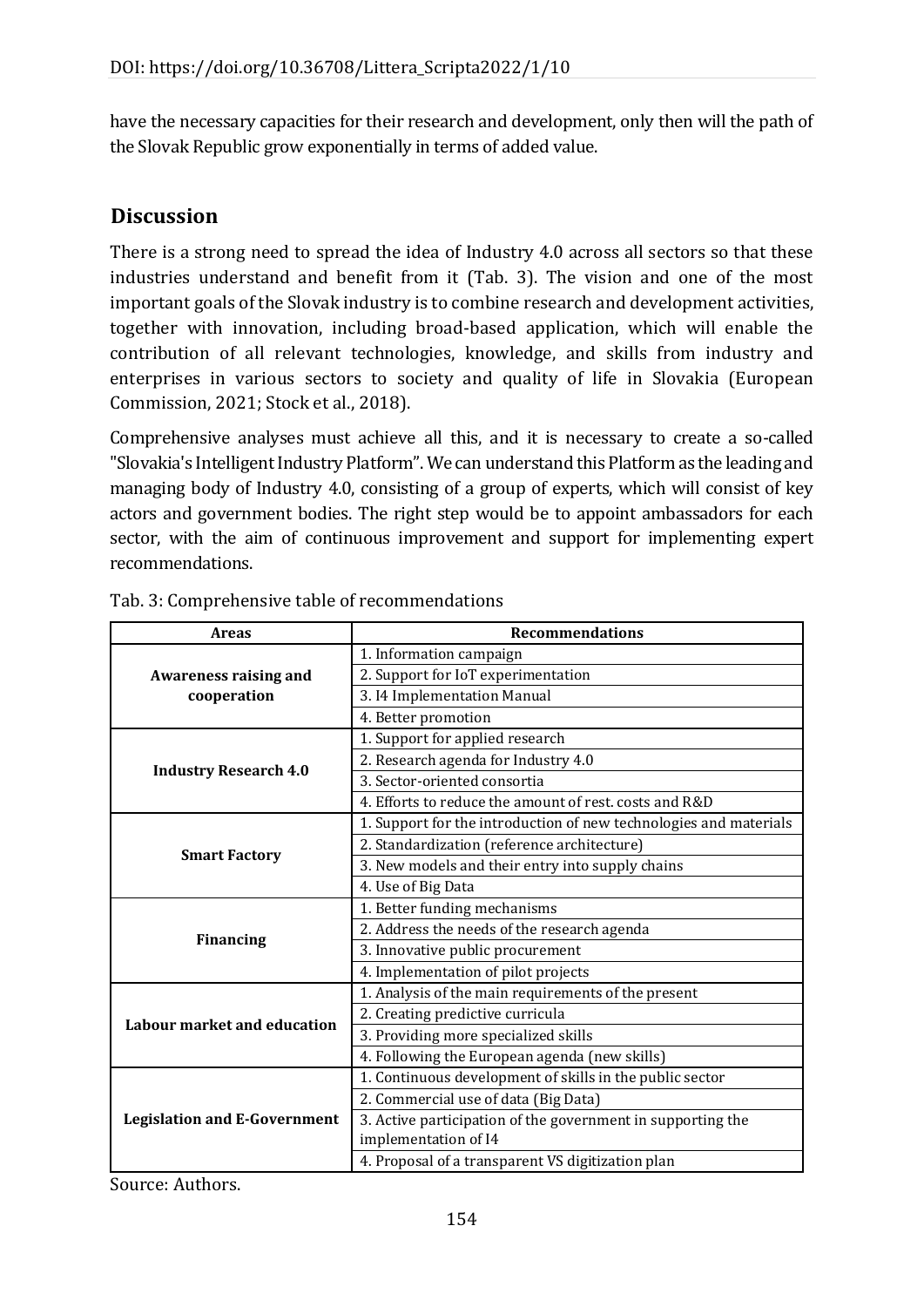have the necessary capacities for their research and development, only then will the path of the Slovak Republic grow exponentially in terms of added value.

## **Discussion**

There is a strong need to spread the idea of Industry 4.0 across all sectors so that these industries understand and benefit from it (Tab. 3). The vision and one of the most important goals of the Slovak industry is to combine research and development activities, together with innovation, including broad-based application, which will enable the contribution of all relevant technologies, knowledge, and skills from industry and enterprises in various sectors to society and quality of life in Slovakia (European Commission, 2021; Stock et al., 2018).

Comprehensive analyses must achieve all this, and it is necessary to create a so-called "Slovakia's Intelligent Industry Platform". We can understand this Platform as the leading and managing body of Industry 4.0, consisting of a group of experts, which will consist of key actors and government bodies. The right step would be to appoint ambassadors for each sector, with the aim of continuous improvement and support for implementing expert recommendations.

| <b>Areas</b>                        | <b>Recommendations</b>                                            |
|-------------------------------------|-------------------------------------------------------------------|
|                                     | 1. Information campaign                                           |
| <b>Awareness raising and</b>        | 2. Support for IoT experimentation                                |
| cooperation                         | 3.14 Implementation Manual                                        |
|                                     | 4. Better promotion                                               |
|                                     | 1. Support for applied research                                   |
|                                     | 2. Research agenda for Industry 4.0                               |
| <b>Industry Research 4.0</b>        | 3. Sector-oriented consortia                                      |
|                                     | 4. Efforts to reduce the amount of rest, costs and R&D            |
|                                     | 1. Support for the introduction of new technologies and materials |
|                                     | 2. Standardization (reference architecture)                       |
| <b>Smart Factory</b>                | 3. New models and their entry into supply chains                  |
|                                     | 4. Use of Big Data                                                |
|                                     | 1. Better funding mechanisms                                      |
|                                     | 2. Address the needs of the research agenda                       |
| <b>Financing</b>                    | 3. Innovative public procurement                                  |
|                                     | 4. Implementation of pilot projects                               |
|                                     | 1. Analysis of the main requirements of the present               |
|                                     | 2. Creating predictive curricula                                  |
| Labour market and education         | 3. Providing more specialized skills                              |
|                                     | 4. Following the European agenda (new skills)                     |
|                                     | 1. Continuous development of skills in the public sector          |
|                                     | 2. Commercial use of data (Big Data)                              |
| <b>Legislation and E-Government</b> | 3. Active participation of the government in supporting the       |
|                                     | implementation of I4                                              |
|                                     | 4. Proposal of a transparent VS digitization plan                 |

Tab. 3: Comprehensive table of recommendations

Source: Authors.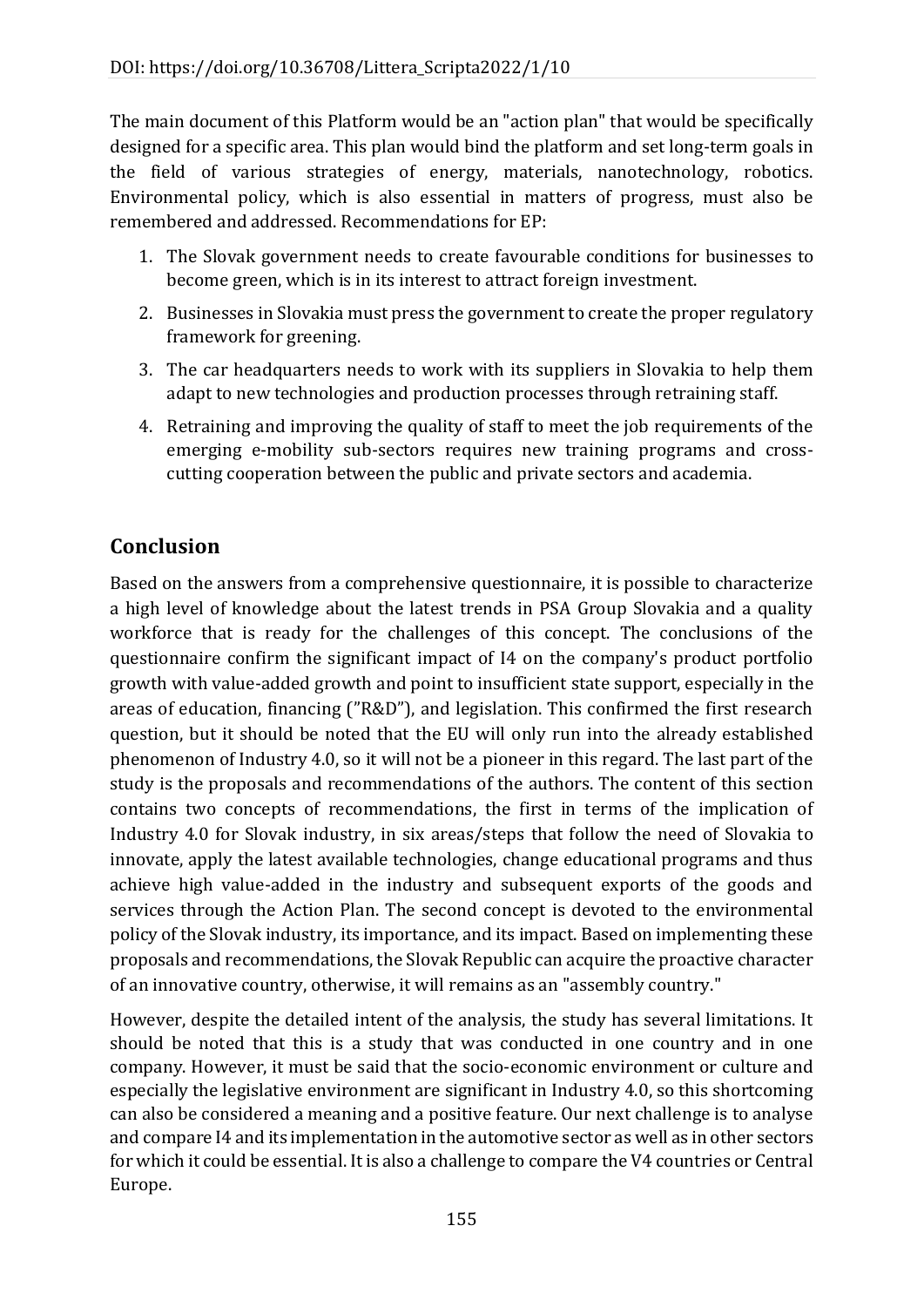The main document of this Platform would be an "action plan" that would be specifically designed for a specific area. This plan would bind the platform and set long-term goals in the field of various strategies of energy, materials, nanotechnology, robotics. Environmental policy, which is also essential in matters of progress, must also be remembered and addressed. Recommendations for EP:

- 1. The Slovak government needs to create favourable conditions for businesses to become green, which is in its interest to attract foreign investment.
- 2. Businesses in Slovakia must press the government to create the proper regulatory framework for greening.
- 3. The car headquarters needs to work with its suppliers in Slovakia to help them adapt to new technologies and production processes through retraining staff.
- 4. Retraining and improving the quality of staff to meet the job requirements of the emerging e-mobility sub-sectors requires new training programs and crosscutting cooperation between the public and private sectors and academia.

# **Conclusion**

Based on the answers from a comprehensive questionnaire, it is possible to characterize a high level of knowledge about the latest trends in PSA Group Slovakia and a quality workforce that is ready for the challenges of this concept. The conclusions of the questionnaire confirm the significant impact of I4 on the company's product portfolio growth with value-added growth and point to insufficient state support, especially in the areas of education, financing ("R&D"), and legislation. This confirmed the first research question, but it should be noted that the EU will only run into the already established phenomenon of Industry 4.0, so it will not be a pioneer in this regard. The last part of the study is the proposals and recommendations of the authors. The content of this section contains two concepts of recommendations, the first in terms of the implication of Industry 4.0 for Slovak industry, in six areas/steps that follow the need of Slovakia to innovate, apply the latest available technologies, change educational programs and thus achieve high value-added in the industry and subsequent exports of the goods and services through the Action Plan. The second concept is devoted to the environmental policy of the Slovak industry, its importance, and its impact. Based on implementing these proposals and recommendations, the Slovak Republic can acquire the proactive character of an innovative country, otherwise, it will remains as an "assembly country."

However, despite the detailed intent of the analysis, the study has several limitations. It should be noted that this is a study that was conducted in one country and in one company. However, it must be said that the socio-economic environment or culture and especially the legislative environment are significant in Industry 4.0, so this shortcoming can also be considered a meaning and a positive feature. Our next challenge is to analyse and compare I4 and its implementation in the automotive sector as well as in other sectors for which it could be essential. It is also a challenge to compare the V4 countries or Central Europe.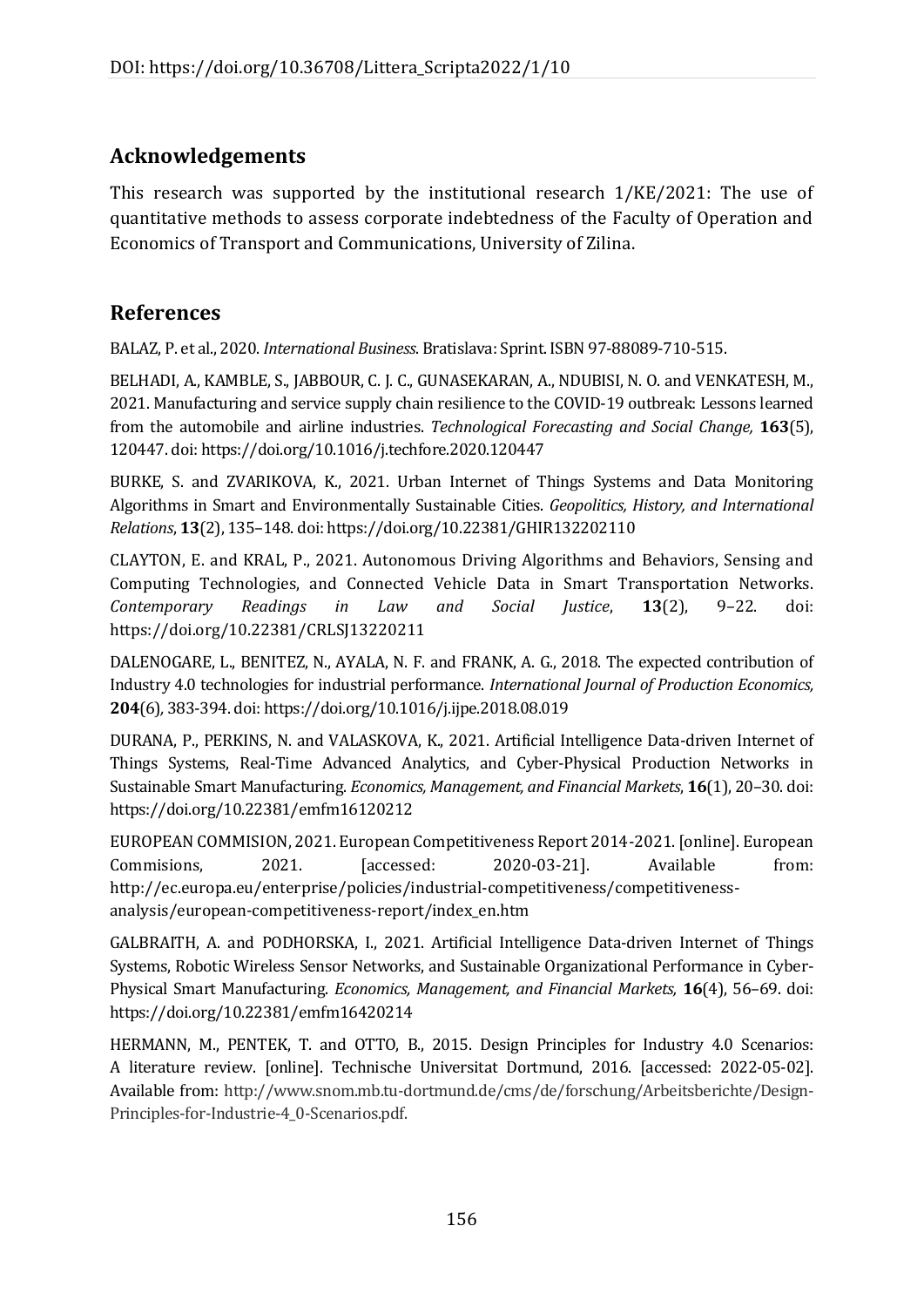# **Acknowledgements**

This research was supported by the institutional research 1/KE/2021: The use of quantitative methods to assess corporate indebtedness of the Faculty of Operation and Economics of Transport and Communications, University of Zilina.

# **References**

BALAZ, P. et al., 2020. *International Business*. Bratislava: Sprint. ISBN 97-88089-710-515.

BELHADI, A., KAMBLE, S., JABBOUR, C. J. C., GUNASEKARAN, A., NDUBISI, N. O. and VENKATESH, M., 2021. Manufacturing and service supply chain resilience to the COVID-19 outbreak: Lessons learned from the automobile and airline industries. *Technological Forecasting and Social Change,* **163**(5), 120447. doi:<https://doi.org/10.1016/j.techfore.2020.120447>

BURKE, S. and ZVARIKOVA, K., 2021. Urban Internet of Things Systems and Data Monitoring Algorithms in Smart and Environmentally Sustainable Cities. *Geopolitics, History, and International Relations*, **13**(2), 135–148. doi: https://doi.org/10.22381/GHIR132202110

CLAYTON, E. and KRAL, P., 2021. Autonomous Driving Algorithms and Behaviors, Sensing and Computing Technologies, and Connected Vehicle Data in Smart Transportation Networks. *Contemporary Readings in Law and Social Justice*, **13**(2), 9–22. doi: https://doi.org/10.22381/CRLSJ13220211

DALENOGARE, L., BENITEZ, N., AYALA, N. F. and FRANK, A. G., 2018. The expected contribution of Industry 4.0 technologies for industrial performance. *International Journal of Production Economics,*  **204**(6)*,* 383-394. doi: <https://doi.org/10.1016/j.ijpe.2018.08.019>

DURANA, P., PERKINS, N. and VALASKOVA, K., 2021. Artificial Intelligence Data-driven Internet of Things Systems, Real-Time Advanced Analytics, and Cyber-Physical Production Networks in Sustainable Smart Manufacturing. *Economics, Management, and Financial Markets*, **16**(1), 20–30. doi: https://doi.org/10.22381/emfm16120212

EUROPEAN COMMISION, 2021. European Competitiveness Report 2014-2021. [online]. European Commisions, 2021. [accessed: 2020-03-21]. Available from: [http://ec.europa.eu/enterprise/policies/industrial-competitiveness/competitiveness](http://ec.europa.eu/enterprise/policies/industrial-competitiveness/competitiveness-analysis/european-competitiveness-report/index_en.htm)[analysis/european-competitiveness-report/index\\_en.htm](http://ec.europa.eu/enterprise/policies/industrial-competitiveness/competitiveness-analysis/european-competitiveness-report/index_en.htm)

GALBRAITH, A. and PODHORSKA, I., 2021. Artificial Intelligence Data-driven Internet of Things Systems, Robotic Wireless Sensor Networks, and Sustainable Organizational Performance in Cyber-Physical Smart Manufacturing. *Economics, Management, and Financial Markets,* **16**(4), 56–69. doi: https://doi.org/10.22381/emfm16420214

HERMANN, M., PENTEK, T. and OTTO, B., 2015. Design Principles for Industry 4.0 Scenarios: A literature review. [online]. Technische Universitat Dortmund, 2016. [accessed: 2022-05-02]. Available from: http://www.snom.mb.tu-dortmund.de/cms/de/forschung/Arbeitsberichte/Design-Principles-for-Industrie-4\_0-Scenarios.pdf.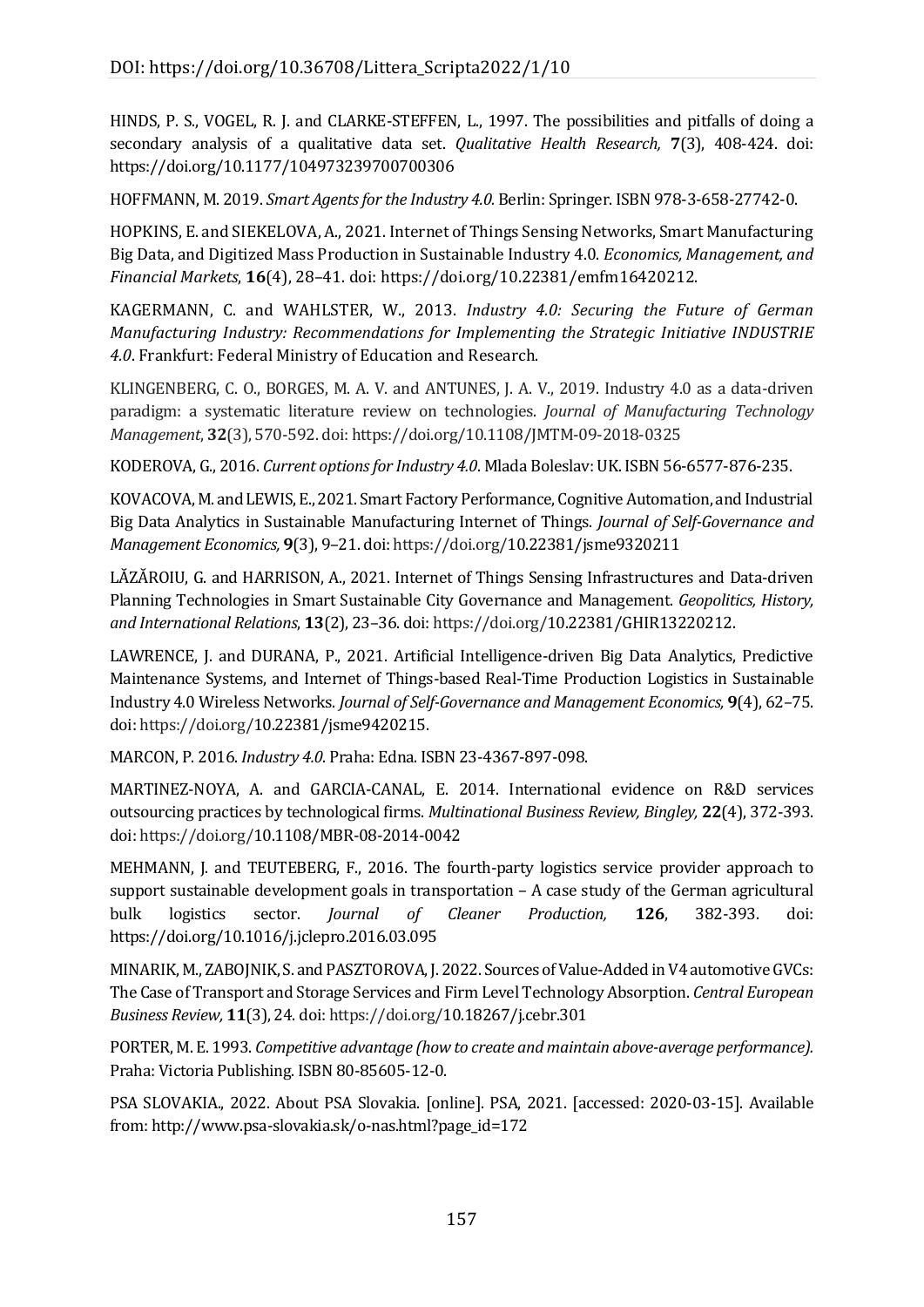HINDS, P. S., VOGEL, R. J. and CLARKE-STEFFEN, L., 1997. The possibilities and pitfalls of doing a secondary analysis of a qualitative data set. *Qualitative Health Research,* **7**(3), 408-424. doi: https://doi.org/10.1177/104973239700700306

HOFFMANN, M. 2019. *Smart Agents for the Industry 4.0.* Berlin: Springer. ISBN 978-3-658-27742-0.

HOPKINS, E. and SIEKELOVA, A., 2021. Internet of Things Sensing Networks, Smart Manufacturing Big Data, and Digitized Mass Production in Sustainable Industry 4.0. *Economics, Management, and Financial Markets*, **16**(4), 28–41. doi: https://doi.org/10.22381/emfm16420212.

KAGERMANN, C. and WAHLSTER, W., 2013. *Industry 4.0: Securing the Future of German Manufacturing Industry: Recommendations for Implementing the Strategic Initiative INDUSTRIE 4.0*. Frankfurt: Federal Ministry of Education and Research.

KLINGENBERG, C. O., BORGES, M. A. V. and ANTUNES, J. A. V., 2019. Industry 4.0 as a data-driven paradigm: a systematic literature review on technologies. *Journal of Manufacturing Technology Management*, **32**(3), 570-592. doi: https://doi.org/10.1108/JMTM-09-2018-0325

KODEROVA, G., 2016. *Current options for Industry 4.0*. Mlada Boleslav: UK. ISBN 56-6577-876-235.

KOVACOVA, M. and LEWIS, E., 2021. Smart Factory Performance, Cognitive Automation, and Industrial Big Data Analytics in Sustainable Manufacturing Internet of Things. *Journal of Self-Governance and Management Economics,* **9**(3), 9–21. doi: https://doi.org/10.22381/jsme9320211

LĂZĂROIU, G. and HARRISON, A., 2021. Internet of Things Sensing Infrastructures and Data-driven Planning Technologies in Smart Sustainable City Governance and Management. *Geopolitics, History, and International Relations*, **13**(2), 23–36. doi: https://doi.org/10.22381/GHIR13220212.

LAWRENCE, J. and DURANA, P., 2021. Artificial Intelligence-driven Big Data Analytics, Predictive Maintenance Systems, and Internet of Things-based Real-Time Production Logistics in Sustainable Industry 4.0 Wireless Networks. *Journal of Self-Governance and Management Economics,* **9**(4), 62–75. doi: https://doi.org/10.22381/jsme9420215.

MARCON, P. 2016. *Industry 4.0*. Praha: Edna. ISBN 23-4367-897-098.

MARTINEZ-NOYA, A. and GARCIA-CANAL, E. 2014. International evidence on R&D services outsourcing practices by technological firms. *Multinational Business Review, Bingley,* **22**(4), 372-393. doi: https://doi.org/10.1108/MBR-08-2014-0042

MEHMANN, J. and TEUTEBERG, F., 2016. The fourth-party logistics service provider approach to support sustainable development goals in transportation – A case study of the German agricultural bulk logistics sector. *Journal of Cleaner Production,* **126**, 382-393. doi: <https://doi.org/10.1016/j.jclepro.2016.03.095>

MINARIK, M., ZABOJNIK, S. and PASZTOROVA, J. 2022. Sources of Value-Added in V4 automotive GVCs: The Case of Transport and Storage Services and Firm Level Technology Absorption. *Central European Business Review,* **11**(3), 24. doi: https://doi.org/10.18267/j.cebr.301

PORTER, M. E. 1993. *Competitive advantage (how to create and maintain above-average performance).* Praha: Victoria Publishing. ISBN 80-85605-12-0.

PSA SLOVAKIA., 2022. About PSA Slovakia. [online]. PSA, 2021. [accessed: 2020-03-15]. Available from: [http://www.psa-slovakia.sk/o-nas.html?page\\_id=172](http://www.psa-slovakia.sk/o-nas.html?page_id=172)